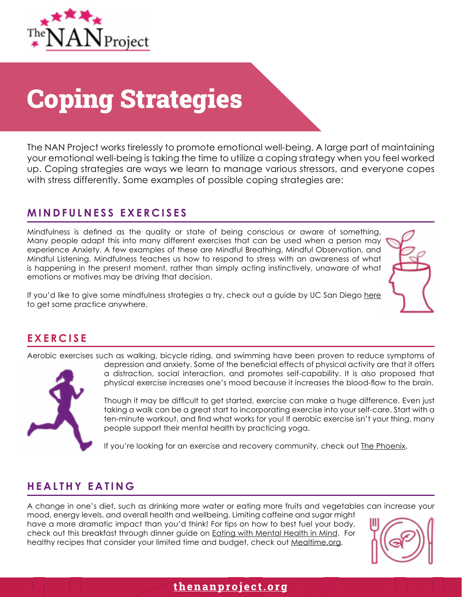

## Coping Strategies

The NAN Project works tirelessly to promote emotional well-being. A large part of maintaining your emotional well-being is taking the time to utilize a coping strategy when you feel worked up. Coping strategies are ways we learn to manage various stressors, and everyone copes with stress differently. Some examples of possible coping strategies are:

#### **MINDFULNESS EXERCISES**

Mindfulness is defined as the quality or state of being conscious or aware of something. Many people adapt this into many different exercises that can be used when a person may experience Anxiety. A few examples of these are Mindful Breathing, Mindful Observation, and Mindful Listening. Mindfulness teaches us how to respond to stress with an awareness of what is happening in the present moment, rather than simply acting instinctively, unaware of what emotions or motives may be driving that decision.

If you'd like to give some mindfulness strategies a try, check out a guide by UC San Diego [here](https://health.ucsd.edu/specialties/mindfulness/resources/Pages/default.aspx) to get some practice anywhere.

## **EXERCISE**

Aerobic exercises such as walking, bicycle riding, and swimming have been proven to reduce symptoms of



depression and anxiety. Some of the beneficial effects of physical activity are that it offers a distraction, social interaction, and promotes self-capability. It is also proposed that physical exercise increases one's mood because it increases the blood-flow to the brain.

Though it may be difficult to get started, exercise can make a huge difference. Even just taking a walk can be a great start to incorporating exercise into your self-care. Start with a ten-minute workout, and find what works for you! If aerobic exercise isn't your thing, many people support their mental health by practicing yoga.

If you're looking for an exercise and recovery community, check out [The Phoenix](https://thephoenix.org/).

## **HEALTHY EATING**

A change in one's diet, such as drinking more water or eating more fruits and vegetables can increase your mood, energy levels, and overall health and wellbeing. Limiting caffeine and sugar might

have a more dramatic impact than you'd think! For tips on how to best fuel your body, check out this breakfast through dinner guide on [Eating with Mental Health in Mind](http://www.mentalhealthamerica.net/conditions/healthy-diet-eating-mental-health-mind). For healthy recipes that consider your limited time and budget, check out [Mealtime.org.](https://www.mealtime.org/meals-and-nutrition/recipes)



## **[thenanproject.org](http://thenanproject.org)**